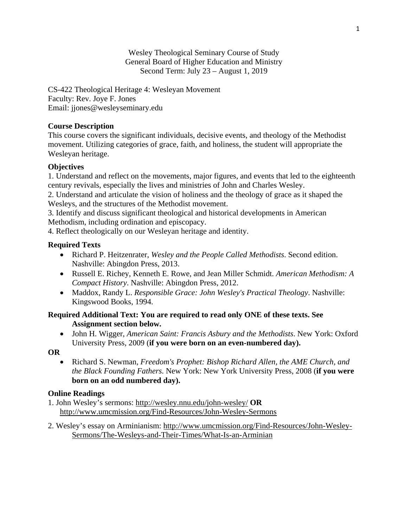Wesley Theological Seminary Course of Study General Board of Higher Education and Ministry Second Term: July 23 – August 1, 2019

CS-422 Theological Heritage 4: Wesleyan Movement Faculty: Rev. Joye F. Jones Email: jjones@wesleyseminary.edu

# **Course Description**

This course covers the significant individuals, decisive events, and theology of the Methodist movement. Utilizing categories of grace, faith, and holiness, the student will appropriate the Wesleyan heritage.

# **Objectives**

1. Understand and reflect on the movements, major figures, and events that led to the eighteenth century revivals, especially the lives and ministries of John and Charles Wesley.

2. Understand and articulate the vision of holiness and the theology of grace as it shaped the Wesleys, and the structures of the Methodist movement.

3. Identify and discuss significant theological and historical developments in American Methodism, including ordination and episcopacy.

4. Reflect theologically on our Wesleyan heritage and identity.

# **Required Texts**

- Richard P. Heitzenrater, *Wesley and the People Called Methodists*. Second edition. Nashville: Abingdon Press, 2013.
- Russell E. Richey, Kenneth E. Rowe, and Jean Miller Schmidt. *American Methodism: A Compact History*. Nashville: Abingdon Press, 2012.
- Maddox, Randy L. *Responsible Grace: John Wesley's Practical Theology*. Nashville: Kingswood Books, 1994.

# **Required Additional Text: You are required to read only ONE of these texts. See Assignment section below.**

 John H. Wigger, *American Saint: Francis Asbury and the Methodists*. New York: Oxford University Press, 2009 (**if you were born on an even-numbered day).**

## **OR**

 Richard S. Newman, *Freedom's Prophet: Bishop Richard Allen, the AME Church, and the Black Founding Fathers*. New York: New York University Press, 2008 (**if you were born on an odd numbered day).** 

## **Online Readings**

- 1. John Wesley's sermons: http://wesley.nnu.edu/john-wesley/ **OR**  http://www.umcmission.org/Find-Resources/John-Wesley-Sermons
- 2. Wesley's essay on Arminianism: http://www.umcmission.org/Find-Resources/John-Wesley-Sermons/The-Wesleys-and-Their-Times/What-Is-an-Arminian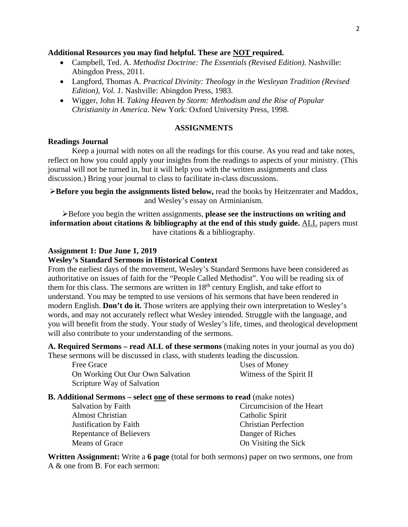#### **Additional Resources you may find helpful. These are NOT required.**

- Campbell, Ted. A. *Methodist Doctrine: The Essentials (Revised Edition).* Nashville: Abingdon Press, 2011.
- Langford, Thomas A. *Practical Divinity: Theology in the Wesleyan Tradition (Revised Edition), Vol. 1.* Nashville: Abingdon Press, 1983.
- Wigger, John H. *Taking Heaven by Storm: Methodism and the Rise of Popular Christianity in America*. New York: Oxford University Press, 1998.

#### **ASSIGNMENTS**

#### **Readings Journal**

Keep a journal with notes on all the readings for this course. As you read and take notes, reflect on how you could apply your insights from the readings to aspects of your ministry. (This journal will not be turned in, but it will help you with the written assignments and class discussion.) Bring your journal to class to facilitate in-class discussions.

**Before you begin the assignments listed below, read the books by Heitzenrater and Maddox,** and Wesley's essay on Arminianism.

Before you begin the written assignments, **please see the instructions on writing and information about citations & bibliography at the end of this study guide.** ALL papers must have citations & a bibliography.

#### **Assignment 1: Due June 1, 2019**

#### **Wesley's Standard Sermons in Historical Context**

From the earliest days of the movement, Wesley's Standard Sermons have been considered as authoritative on issues of faith for the "People Called Methodist". You will be reading six of them for this class. The sermons are written in  $18<sup>th</sup>$  century English, and take effort to understand. You may be tempted to use versions of his sermons that have been rendered in modern English. **Don't do it.** Those writers are applying their own interpretation to Wesley's words, and may not accurately reflect what Wesley intended. Struggle with the language, and you will benefit from the study. Your study of Wesley's life, times, and theological development will also contribute to your understanding of the sermons.

**A. Required Sermons – read ALL of these sermons** (making notes in your journal as you do) These sermons will be discussed in class, with students leading the discussion.

| Free Grace                       | Uses of Money            |
|----------------------------------|--------------------------|
| On Working Out Our Own Salvation | Witness of the Spirit II |
| Scripture Way of Salvation       |                          |

#### **B. Additional Sermons – select one of these sermons to read** (make notes)

| Salvation by Faith      | Circumcision of the Heart   |
|-------------------------|-----------------------------|
| <b>Almost Christian</b> | Catholic Spirit             |
| Justification by Faith  | <b>Christian Perfection</b> |
| Repentance of Believers | Danger of Riches            |
| Means of Grace          | On Visiting the Sick        |

**Written Assignment:** Write a **6 page** (total for both sermons) paper on two sermons, one from A & one from B. For each sermon: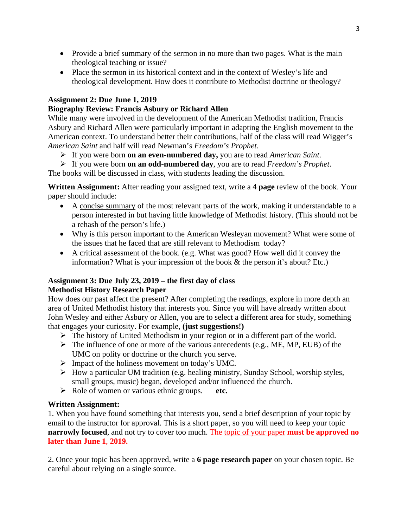- Provide a brief summary of the sermon in no more than two pages. What is the main theological teaching or issue?
- Place the sermon in its historical context and in the context of Wesley's life and theological development. How does it contribute to Methodist doctrine or theology?

# **Assignment 2: Due June 1, 2019**

# **Biography Review: Francis Asbury or Richard Allen**

While many were involved in the development of the American Methodist tradition, Francis Asbury and Richard Allen were particularly important in adapting the English movement to the American context. To understand better their contributions, half of the class will read Wigger's *American Saint* and half will read Newman's *Freedom's Prophet*.

- If you were born **on an even-numbered day,** you are to read *American Saint*.
- If you were born **on an odd-numbered day**, you are to read *Freedom's Prophet*.

The books will be discussed in class, with students leading the discussion.

**Written Assignment:** After reading your assigned text, write a **4 page** review of the book. Your paper should include:

- A concise summary of the most relevant parts of the work, making it understandable to a person interested in but having little knowledge of Methodist history. (This should not be a rehash of the person's life.)
- Why is this person important to the American Wesleyan movement? What were some of the issues that he faced that are still relevant to Methodism today?
- A critical assessment of the book. (e.g. What was good? How well did it convey the information? What is your impression of the book & the person it's about? Etc.)

# **Assignment 3: Due July 23, 2019 – the first day of class**

# **Methodist History Research Paper**

How does our past affect the present? After completing the readings, explore in more depth an area of United Methodist history that interests you. Since you will have already written about John Wesley and either Asbury or Allen, you are to select a different area for study, something that engages your curiosity. For example, **(just suggestions!)**

- $\triangleright$  The history of United Methodism in your region or in a different part of the world.
- $\triangleright$  The influence of one or more of the various antecedents (e.g., ME, MP, EUB) of the UMC on polity or doctrine or the church you serve.
- $\triangleright$  Impact of the holiness movement on today's UMC.
- $\triangleright$  How a particular UM tradition (e.g. healing ministry, Sunday School, worship styles, small groups, music) began, developed and/or influenced the church.
- Role of women or various ethnic groups. **etc.**

# **Written Assignment:**

1. When you have found something that interests you, send a brief description of your topic by email to the instructor for approval. This is a short paper, so you will need to keep your topic **narrowly focused**, and not try to cover too much. The topic of your paper **must be approved no later than June 1**, **2019.**

2. Once your topic has been approved, write a **6 page research paper** on your chosen topic. Be careful about relying on a single source.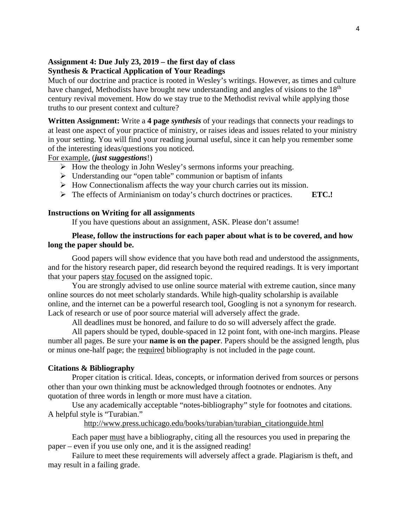# **Assignment 4: Due July 23, 2019 – the first day of class**

## **Synthesis & Practical Application of Your Readings**

Much of our doctrine and practice is rooted in Wesley's writings. However, as times and culture have changed, Methodists have brought new understanding and angles of visions to the 18<sup>th</sup> century revival movement. How do we stay true to the Methodist revival while applying those truths to our present context and culture?

**Written Assignment:** Write a **4 page** *synthesis* of your readings that connects your readings to at least one aspect of your practice of ministry, or raises ideas and issues related to your ministry in your setting. You will find your reading journal useful, since it can help you remember some of the interesting ideas/questions you noticed.

#### For example, (*just suggestions*!)

- $\triangleright$  How the theology in John Wesley's sermons informs your preaching.
- $\triangleright$  Understanding our "open table" communion or baptism of infants
- $\triangleright$  How Connectionalism affects the way your church carries out its mission.
- The effects of Arminianism on today's church doctrines or practices. **ETC.!**

#### **Instructions on Writing for all assignments**

If you have questions about an assignment, ASK. Please don't assume!

#### **Please, follow the instructions for each paper about what is to be covered, and how long the paper should be.**

Good papers will show evidence that you have both read and understood the assignments, and for the history research paper, did research beyond the required readings. It is very important that your papers stay focused on the assigned topic.

You are strongly advised to use online source material with extreme caution, since many online sources do not meet scholarly standards. While high-quality scholarship is available online, and the internet can be a powerful research tool, Googling is not a synonym for research. Lack of research or use of poor source material will adversely affect the grade.

All deadlines must be honored, and failure to do so will adversely affect the grade.

All papers should be typed, double-spaced in 12 point font, with one-inch margins. Please number all pages. Be sure your **name is on the paper**. Papers should be the assigned length, plus or minus one-half page; the required bibliography is not included in the page count.

#### **Citations & Bibliography**

Proper citation is critical. Ideas, concepts, or information derived from sources or persons other than your own thinking must be acknowledged through footnotes or endnotes. Any quotation of three words in length or more must have a citation.

Use any academically acceptable "notes-bibliography" style for footnotes and citations. A helpful style is "Turabian."

http://www.press.uchicago.edu/books/turabian/turabian\_citationguide.html

Each paper must have a bibliography, citing all the resources you used in preparing the paper – even if you use only one, and it is the assigned reading!

Failure to meet these requirements will adversely affect a grade. Plagiarism is theft, and may result in a failing grade.